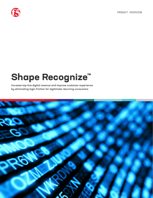PRODUCT OVERVIEW



# **Shape Recognize™**

Increase top-line digital revenue and improve customer experience by eliminating login friction for legitimate returning consumers

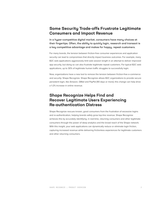## **Some Security Trade-offs Frustrate Legitimate Consumers and Impact Revenue**

In a hyper-competitive digital market, consumers have many choices at their fingertips. Often, the ability to quickly login, research and transact is a key competitive advantage and makes for happy, repeat customers.

For many brands, the tension between friction-free consumer experiences and application security can lead to compromises that directly impact business outcomes. For example, many B2C web applications aggressively limit web session length in an attempt to deliver improved app security, but doing so can also frustrate legitimate repeat customers. For typical B2C web applications, up to 30% of legitimate human traffic struggles to successfully login.

Now, organizations have a new tool to remove the tension between friction-free e-commerce and security: Shape Recognize. Shape Recognize allows B2C organizations to provide secure persistent login, like Amazon, GMail and PayPal (90 days or more); this change can help drive a 1-2% increase in online revenue.

## **Shape Recognize Helps Find and Recover Legitimate Users Experiencing Re-authentication Distress**

Shape Recognize rescues known, good consumers from the frustration of excessive logins and re-authentication, helping brands safely grow top-line revenue. Shape Recognize achieves this by accurately identifying, in real-time, returning consumers and other legitimate consumers through the power of deep analytics and the broad reach of the Shape network. With this insight, your web applications can dynamically reduce or eliminate login friction, capturing increased revenue while delivering frictionless experiences for legitimate customers and other returning consumers.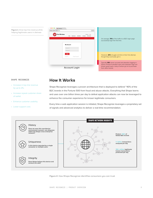**Figure 1:** Grow top-line revenue while helping legitimate users in distress



#### SHAPE RECOGNIZE

- Increase in top-line revenue by up to 2%,
- Increase repeat customer share of wallet.
- Enhance customer usability.
- Lower support cost.

### **How It Works**

Shape Recognize leverages a proven architecture that is deployed to defend ~40% of the B2C brands in the Fortune 500 from fraud and abuse attacks. Everything that Shape learns and uses over one billion times per day to defeat application attacks can now be leveraged to enhance the consumer experience for known legitimate consumers.

Every time a web application session is initiated, Shape Recognize leverages a proprietary set of signals and advanced analytics to deliver a real-time recommendation.